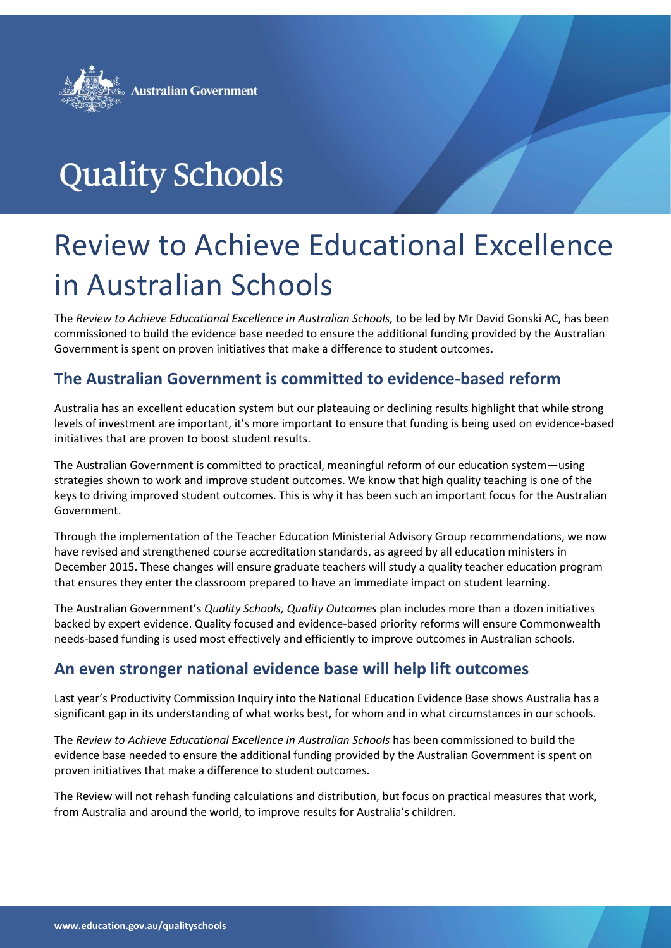

# **Quality Schools**

# Review to Achieve Educational Excellence in Australian Schools

The *Review to Achieve Educational Excellence in Australian Schools,* to be led by Mr David Gonski AC, has been commissioned to build the evidence base needed to ensure the additional funding provided by the Australian Government is spent on proven initiatives that make a difference to student outcomes.

#### **The Australian Government is committed to evidence-based reform**

Australia has an excellent education system but our plateauing or declining results highlight that while strong levels of investment are important, it's more important to ensure that funding is being used on evidence-based initiatives that are proven to boost student results.

The Australian Government is committed to practical, meaningful reform of our education system—using strategies shown to work and improve student outcomes. We know that high quality teaching is one of the keys to driving improved student outcomes. This is why it has been such an important focus for the Australian Government.

Through the implementation of the Teacher Education Ministerial Advisory Group recommendations, we now have revised and strengthened course accreditation standards, as agreed by all education ministers in December 2015. These changes will ensure graduate teachers will study a quality teacher education program that ensures they enter the classroom prepared to have an immediate impact on student learning.

The Australian Government's *Quality Schools, Quality Outcomes* plan includes more than a dozen initiatives backed by expert evidence. Quality focused and evidence-based priority reforms will ensure Commonwealth needs-based funding is used most effectively and efficiently to improve outcomes in Australian schools.

#### **An even stronger national evidence base will help lift outcomes**

Last year's Productivity Commission Inquiry into the National Education Evidence Base shows Australia has a significant gap in its understanding of what works best, for whom and in what circumstances in our schools.

The *Review to Achieve Educational Excellence in Australian Schools* has been commissioned to build the evidence base needed to ensure the additional funding provided by the Australian Government is spent on proven initiatives that make a difference to student outcomes.

The Review will not rehash funding calculations and distribution, but focus on practical measures that work, from Australia and around the world, to improve results for Australia's children.